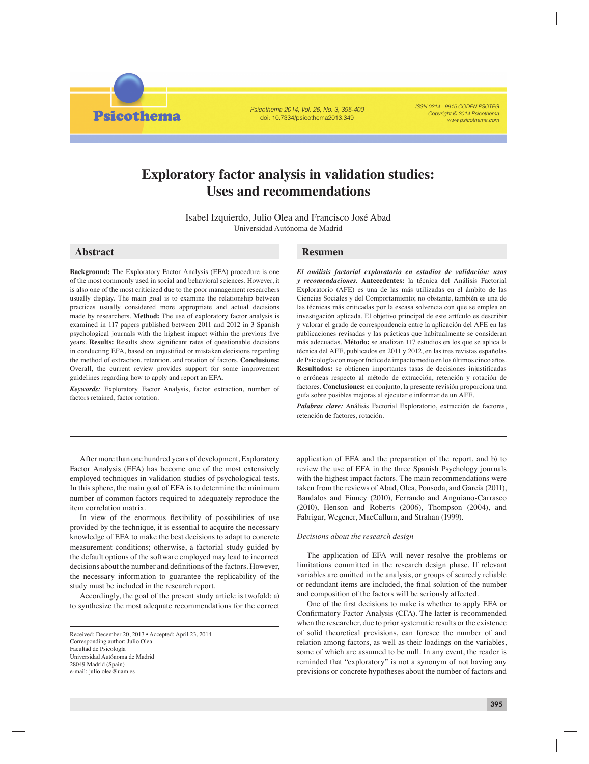Psicothema 2014, Vol. 26, No. 3, 395-400 doi: 10.7334/psicothema2013.349

ISSN 0214 - 9915 CODEN PSOTEG Copyright © 2014 Psicothema www.psicothema.com

# **Exploratory factor analysis in validation studies: Uses and recommendations**

Isabel Izquierdo, Julio Olea and Francisco José Abad Universidad Autónoma de Madrid

**Psicothema** 

**Background:** The Exploratory Factor Analysis (EFA) procedure is one of the most commonly used in social and behavioral sciences. However, it is also one of the most criticized due to the poor management researchers usually display. The main goal is to examine the relationship between practices usually considered more appropriate and actual decisions made by researchers. **Method:** The use of exploratory factor analysis is examined in 117 papers published between 2011 and 2012 in 3 Spanish psychological journals with the highest impact within the previous five years. **Results:** Results show significant rates of questionable decisions in conducting EFA, based on unjustified or mistaken decisions regarding the method of extraction, retention, and rotation of factors. **Conclusions:** Overall, the current review provides support for some improvement guidelines regarding how to apply and report an EFA.

*Keywords:* Exploratory Factor Analysis, factor extraction, number of factors retained, factor rotation.

## **Abstract Resumen**

*El análisis factorial exploratorio en estudios de validación: usos y recomendaciones.* **Antecedentes:** la técnica del Análisis Factorial Exploratorio (AFE) es una de las más utilizadas en el ámbito de las Ciencias Sociales y del Comportamiento; no obstante, también es una de las técnicas más criticadas por la escasa solvencia con que se emplea en investigación aplicada. El objetivo principal de este artículo es describir y valorar el grado de correspondencia entre la aplicación del AFE en las publicaciones revisadas y las prácticas que habitualmente se consideran más adecuadas. **Método:** se analizan 117 estudios en los que se aplica la técnica del AFE, publicados en 2011 y 2012, en las tres revistas españolas de Psicología con mayor índice de impacto medio en los últimos cinco años. Resultados: se obtienen importantes tasas de decisiones injustificadas o erróneas respecto al método de extracción, retención y rotación de factores. **Conclusiones:** en conjunto, la presente revisión proporciona una guía sobre posibles mejoras al ejecutar e informar de un AFE.

*Palabras clave:* Análisis Factorial Exploratorio, extracción de factores, retención de factores, rotación.

After more than one hundred years of development, Exploratory Factor Analysis (EFA) has become one of the most extensively employed techniques in validation studies of psychological tests. In this sphere, the main goal of EFA is to determine the minimum number of common factors required to adequately reproduce the item correlation matrix.

In view of the enormous flexibility of possibilities of use provided by the technique, it is essential to acquire the necessary knowledge of EFA to make the best decisions to adapt to concrete measurement conditions; otherwise, a factorial study guided by the default options of the software employed may lead to incorrect decisions about the number and definitions of the factors. However, the necessary information to guarantee the replicability of the study must be included in the research report.

Accordingly, the goal of the present study article is twofold: a) to synthesize the most adequate recommendations for the correct

application of EFA and the preparation of the report, and b) to review the use of EFA in the three Spanish Psychology journals with the highest impact factors. The main recommendations were taken from the reviews of Abad, Olea, Ponsoda, and García (2011), Bandalos and Finney (2010), Ferrando and Anguiano-Carrasco (2010), Henson and Roberts (2006), Thompson (2004), and Fabrigar, Wegener, MacCallum, and Strahan (1999).

#### *Decisions about the research design*

The application of EFA will never resolve the problems or limitations committed in the research design phase. If relevant variables are omitted in the analysis, or groups of scarcely reliable or redundant items are included, the final solution of the number and composition of the factors will be seriously affected.

One of the first decisions to make is whether to apply EFA or Confirmatory Factor Analysis (CFA). The latter is recommended when the researcher, due to prior systematic results or the existence of solid theoretical previsions, can foresee the number of and relation among factors, as well as their loadings on the variables, some of which are assumed to be null. In any event, the reader is reminded that "exploratory" is not a synonym of not having any previsions or concrete hypotheses about the number of factors and

Received: December 20, 2013 • Accepted: April 23, 2014 Corresponding author: Julio Olea Facultad de Psicología Universidad Autónoma de Madrid 28049 Madrid (Spain) e-mail: julio.olea@uam.es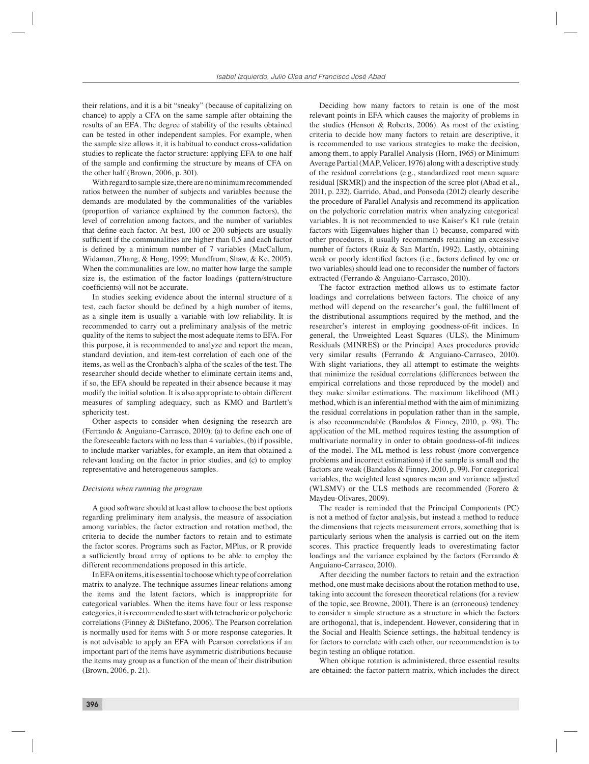their relations, and it is a bit "sneaky" (because of capitalizing on chance) to apply a CFA on the same sample after obtaining the results of an EFA. The degree of stability of the results obtained can be tested in other independent samples. For example, when the sample size allows it, it is habitual to conduct cross-validation studies to replicate the factor structure: applying EFA to one half of the sample and confirming the structure by means of CFA on the other half (Brown, 2006, p. 301).

With regard to sample size, there are no minimum recommended ratios between the number of subjects and variables because the demands are modulated by the communalities of the variables (proportion of variance explained by the common factors), the level of correlation among factors, and the number of variables that define each factor. At best, 100 or 200 subjects are usually sufficient if the communalities are higher than 0.5 and each factor is defined by a minimum number of 7 variables (MacCallum, Widaman, Zhang, & Hong, 1999; Mundfrom, Shaw, & Ke, 2005). When the communalities are low, no matter how large the sample size is, the estimation of the factor loadings (pattern/structure coefficients) will not be accurate.

In studies seeking evidence about the internal structure of a test, each factor should be defined by a high number of items, as a single item is usually a variable with low reliability. It is recommended to carry out a preliminary analysis of the metric quality of the items to subject the most adequate items to EFA. For this purpose, it is recommended to analyze and report the mean, standard deviation, and item-test correlation of each one of the items, as well as the Cronbach's alpha of the scales of the test. The researcher should decide whether to eliminate certain items and, if so, the EFA should be repeated in their absence because it may modify the initial solution. It is also appropriate to obtain different measures of sampling adequacy, such as KMO and Bartlett's sphericity test.

Other aspects to consider when designing the research are (Ferrando & Anguiano-Carrasco, 2010): (a) to define each one of the foreseeable factors with no less than 4 variables, (b) if possible, to include marker variables, for example, an item that obtained a relevant loading on the factor in prior studies, and (c) to employ representative and heterogeneous samples.

#### *Decisions when running the program*

A good software should at least allow to choose the best options regarding preliminary item analysis, the measure of association among variables, the factor extraction and rotation method, the criteria to decide the number factors to retain and to estimate the factor scores. Programs such as Factor, MPlus, or R provide a sufficiently broad array of options to be able to employ the different recommendations proposed in this article.

In EFA on items, it is essential to choose which type of correlation matrix to analyze. The technique assumes linear relations among the items and the latent factors, which is inappropriate for categorical variables. When the items have four or less response categories, it is recommended to start with tetrachoric or polychoric correlations (Finney & DiStefano, 2006). The Pearson correlation is normally used for items with 5 or more response categories. It is not advisable to apply an EFA with Pearson correlations if an important part of the items have asymmetric distributions because the items may group as a function of the mean of their distribution (Brown, 2006, p. 21).

Deciding how many factors to retain is one of the most relevant points in EFA which causes the majority of problems in the studies (Henson & Roberts, 2006). As most of the existing criteria to decide how many factors to retain are descriptive, it is recommended to use various strategies to make the decision, among them, to apply Parallel Analysis (Horn, 1965) or Minimum Average Partial (MAP, Velicer, 1976) along with a descriptive study of the residual correlations (e.g., standardized root mean square residual [SRMR]) and the inspection of the scree plot (Abad et al., 2011, p. 232). Garrido, Abad, and Ponsoda (2012) clearly describe the procedure of Parallel Analysis and recommend its application on the polychoric correlation matrix when analyzing categorical variables. It is not recommended to use Kaiser's K1 rule (retain factors with Eigenvalues higher than 1) because, compared with other procedures, it usually recommends retaining an excessive number of factors (Ruiz & San Martín, 1992). Lastly, obtaining weak or poorly identified factors (i.e., factors defined by one or two variables) should lead one to reconsider the number of factors extracted (Ferrando & Anguiano-Carrasco, 2010).

The factor extraction method allows us to estimate factor loadings and correlations between factors. The choice of any method will depend on the researcher's goal, the fulfillment of the distributional assumptions required by the method, and the researcher's interest in employing goodness-of-fit indices. In general, the Unweighted Least Squares (ULS), the Minimum Residuals (MINRES) or the Principal Axes procedures provide very similar results (Ferrando & Anguiano-Carrasco, 2010). With slight variations, they all attempt to estimate the weights that minimize the residual correlations (differences between the empirical correlations and those reproduced by the model) and they make similar estimations. The maximum likelihood (ML) method, which is an inferential method with the aim of minimizing the residual correlations in population rather than in the sample, is also recommendable (Bandalos & Finney, 2010, p. 98). The application of the ML method requires testing the assumption of multivariate normality in order to obtain goodness-of-fit indices of the model. The ML method is less robust (more convergence problems and incorrect estimations) if the sample is small and the factors are weak (Bandalos & Finney, 2010, p. 99). For categorical variables, the weighted least squares mean and variance adjusted (WLSMV) or the ULS methods are recommended (Forero & Maydeu-Olivares, 2009).

The reader is reminded that the Principal Components (PC) is not a method of factor analysis, but instead a method to reduce the dimensions that rejects measurement errors, something that is particularly serious when the analysis is carried out on the item scores. This practice frequently leads to overestimating factor loadings and the variance explained by the factors (Ferrando & Anguiano-Carrasco, 2010).

After deciding the number factors to retain and the extraction method, one must make decisions about the rotation method to use, taking into account the foreseen theoretical relations (for a review of the topic, see Browne, 2001). There is an (erroneous) tendency to consider a simple structure as a structure in which the factors are orthogonal, that is, independent. However, considering that in the Social and Health Science settings, the habitual tendency is for factors to correlate with each other, our recommendation is to begin testing an oblique rotation.

When oblique rotation is administered, three essential results are obtained: the factor pattern matrix, which includes the direct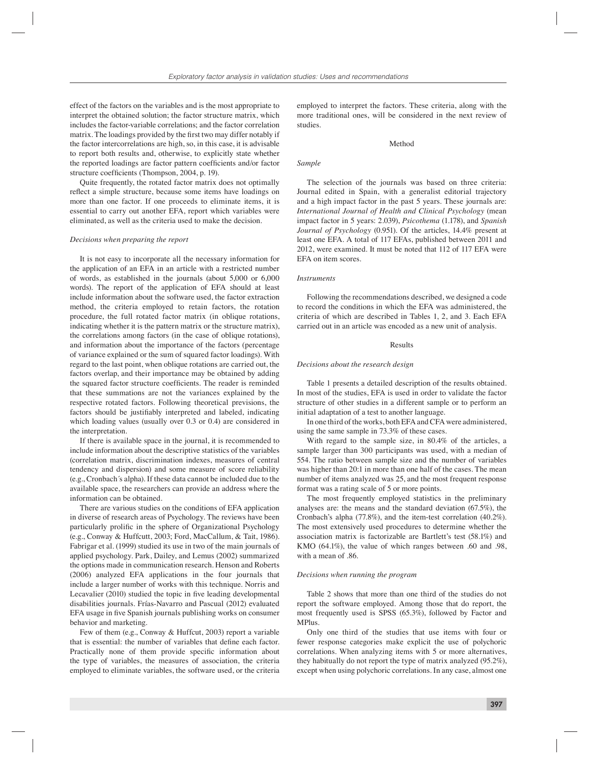effect of the factors on the variables and is the most appropriate to interpret the obtained solution; the factor structure matrix, which includes the factor-variable correlations; and the factor correlation matrix. The loadings provided by the first two may differ notably if the factor intercorrelations are high, so, in this case, it is advisable to report both results and, otherwise, to explicitly state whether the reported loadings are factor pattern coefficients and/or factor structure coefficients (Thompson, 2004, p. 19).

Quite frequently, the rotated factor matrix does not optimally reflect a simple structure, because some items have loadings on more than one factor. If one proceeds to eliminate items, it is essential to carry out another EFA, report which variables were eliminated, as well as the criteria used to make the decision.

#### *Decisions when preparing the report*

It is not easy to incorporate all the necessary information for the application of an EFA in an article with a restricted number of words, as established in the journals (about 5,000 or 6,000 words). The report of the application of EFA should at least include information about the software used, the factor extraction method, the criteria employed to retain factors, the rotation procedure, the full rotated factor matrix (in oblique rotations, indicating whether it is the pattern matrix or the structure matrix), the correlations among factors (in the case of oblique rotations), and information about the importance of the factors (percentage of variance explained or the sum of squared factor loadings). With regard to the last point, when oblique rotations are carried out, the factors overlap, and their importance may be obtained by adding the squared factor structure coefficients. The reader is reminded that these summations are not the variances explained by the respective rotated factors. Following theoretical previsions, the factors should be justifiably interpreted and labeled, indicating which loading values (usually over 0.3 or 0.4) are considered in the interpretation.

If there is available space in the journal, it is recommended to include information about the descriptive statistics of the variables (correlation matrix, discrimination indexes, measures of central tendency and dispersion) and some measure of score reliability (e.g., Cronbach´s alpha). If these data cannot be included due to the available space, the researchers can provide an address where the information can be obtained.

There are various studies on the conditions of EFA application in diverse of research areas of Psychology. The reviews have been particularly prolific in the sphere of Organizational Psychology (e.g., Conway & Huffcutt, 2003; Ford, MacCallum, & Tait, 1986). Fabrigar et al. (1999) studied its use in two of the main journals of applied psychology. Park, Dailey, and Lemus (2002) summarized the options made in communication research. Henson and Roberts (2006) analyzed EFA applications in the four journals that include a larger number of works with this technique. Norris and Lecavalier (2010) studied the topic in five leading developmental disabilities journals. Frías-Navarro and Pascual (2012) evaluated EFA usage in five Spanish journals publishing works on consumer behavior and marketing.

Few of them (e.g., Conway & Huffcut, 2003) report a variable that is essential: the number of variables that define each factor. Practically none of them provide specific information about the type of variables, the measures of association, the criteria employed to eliminate variables, the software used, or the criteria

employed to interpret the factors. These criteria, along with the more traditional ones, will be considered in the next review of studies.

#### Method

#### *Sample*

The selection of the journals was based on three criteria: Journal edited in Spain, with a generalist editorial trajectory and a high impact factor in the past 5 years. These journals are: *International Journal of Health and Clinical Psychology* (mean impact factor in 5 years: 2.039), *Psicothema* (1.178), and *Spanish Journal of Psychology* (0.951). Of the articles, 14.4% present at least one EFA. A total of 117 EFAs, published between 2011 and 2012, were examined. It must be noted that 112 of 117 EFA were EFA on item scores.

#### *Instruments*

Following the recommendations described, we designed a code to record the conditions in which the EFA was administered, the criteria of which are described in Tables 1, 2, and 3. Each EFA carried out in an article was encoded as a new unit of analysis.

#### Results

#### *Decisions about the research design*

Table 1 presents a detailed description of the results obtained. In most of the studies, EFA is used in order to validate the factor structure of other studies in a different sample or to perform an initial adaptation of a test to another language.

In one third of the works, both EFA and CFA were administered, using the same sample in 73.3% of these cases.

With regard to the sample size, in 80.4% of the articles, a sample larger than 300 participants was used, with a median of 554. The ratio between sample size and the number of variables was higher than 20:1 in more than one half of the cases. The mean number of items analyzed was 25, and the most frequent response format was a rating scale of 5 or more points.

The most frequently employed statistics in the preliminary analyses are: the means and the standard deviation (67.5%), the Cronbach's alpha (77.8%), and the item-test correlation (40.2%). The most extensively used procedures to determine whether the association matrix is factorizable are Bartlett's test (58.1%) and KMO (64.1%), the value of which ranges between .60 and .98, with a mean of .86.

#### *Decisions when running the program*

Table 2 shows that more than one third of the studies do not report the software employed. Among those that do report, the most frequently used is SPSS (65.3%), followed by Factor and MPlus.

Only one third of the studies that use items with four or fewer response categories make explicit the use of polychoric correlations. When analyzing items with 5 or more alternatives, they habitually do not report the type of matrix analyzed (95.2%), except when using polychoric correlations. In any case, almost one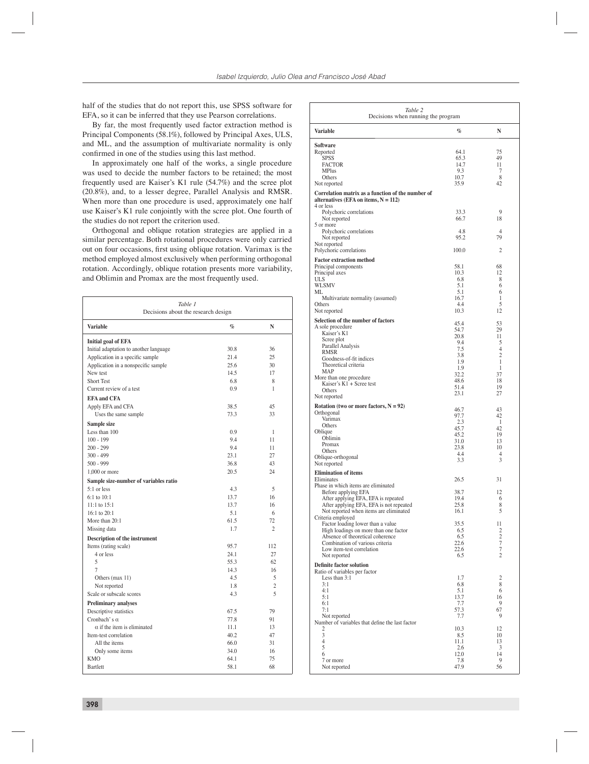half of the studies that do not report this, use SPSS software for EFA, so it can be inferred that they use Pearson correlations.

By far, the most frequently used factor extraction method is Principal Components (58.1%), followed by Principal Axes, ULS, and ML, and the assumption of multivariate normality is only confirmed in one of the studies using this last method.

In approximately one half of the works, a single procedure was used to decide the number factors to be retained; the most frequently used are Kaiser's K1 rule (54.7%) and the scree plot (20.8%), and, to a lesser degree, Parallel Analysis and RMSR. When more than one procedure is used, approximately one half use Kaiser's K1 rule conjointly with the scree plot. One fourth of the studies do not report the criterion used.

Orthogonal and oblique rotation strategies are applied in a similar percentage. Both rotational procedures were only carried out on four occasions, first using oblique rotation. Varimax is the method employed almost exclusively when performing orthogonal rotation. Accordingly, oblique rotation presents more variability, and Oblimin and Promax are the most frequently used.

| Table 1<br>Decisions about the research design |                 |                |  |
|------------------------------------------------|-----------------|----------------|--|
| <b>Variable</b>                                | $\mathcal{G}_0$ | N              |  |
| <b>Initial goal of EFA</b>                     |                 |                |  |
| Initial adaptation to another language         | 30.8            | 36             |  |
| Application in a specific sample               | 21.4            | 25             |  |
| Application in a nonspecific sample            | 25.6            | 30             |  |
| New test                                       | 14.5            | 17             |  |
| <b>Short Test</b>                              | 6.8             | 8              |  |
| Current review of a test                       | 0.9             | 1              |  |
| <b>EFA</b> and CFA                             |                 |                |  |
| Apply EFA and CFA                              | 38.5            | 45             |  |
| Uses the same sample                           | 73.3            | 33             |  |
| Sample size                                    |                 |                |  |
| Less than 100                                  | 0.9             | 1              |  |
| $100 - 199$                                    | 9.4             | 11             |  |
| $200 - 299$                                    | 9.4             | 11             |  |
| $300 - 499$                                    | 23.1            | 27             |  |
| $500 - 999$                                    | 36.8            | 43             |  |
| $1,000$ or more                                | 20.5            | 24             |  |
| Sample size-number of variables ratio          |                 |                |  |
| 5:1 or less                                    | 4.3             | 5              |  |
| $6:1$ to $10:1$                                | 13.7            | 16             |  |
| $11:1$ to $15:1$                               | 13.7            | 16             |  |
| 16:1 to 20:1                                   | 5.1             | 6              |  |
| More than 20:1                                 | 61.5            | 72             |  |
| Missing data                                   | 1.7             | $\mathfrak{2}$ |  |
| Description of the instrument                  |                 |                |  |
| Items (rating scale)                           | 95.7            | 112            |  |
| 4 or less                                      | 24.1            | 27             |  |
| 5                                              | 55.3            | 62             |  |
| 7                                              | 14.3            | 16             |  |
| Others (max 11)                                | 4.5             | 5              |  |
| Not reported                                   | 1.8             | $\overline{c}$ |  |
| Scale or subscale scores                       | 4.3             | 5              |  |
| <b>Preliminary analyses</b>                    |                 |                |  |
| Descriptive statistics                         | 67.5            | 79             |  |
| Cronbach's $\alpha$                            | 77.8            | 91             |  |
| $\alpha$ if the item is eliminated             | 11.1            | 13             |  |
| Item-test correlation                          | 40.2            | 47             |  |
| All the items                                  | 66.0            | 31             |  |
| Only some items                                | 34.0            | 16             |  |
| <b>KMO</b>                                     | 64.1            | 75             |  |
| Bartlett                                       | 58.1            | 68             |  |

| Table 2<br>Decisions when running the program                                                                            |                                     |                                |
|--------------------------------------------------------------------------------------------------------------------------|-------------------------------------|--------------------------------|
| <b>Variable</b>                                                                                                          | $\%$                                | N                              |
| Software<br>Reported<br><b>SPSS</b><br><b>FACTOR</b><br><b>MPlus</b><br>Others                                           | 64.1<br>65.3<br>14.7<br>9.3<br>10.7 | 75<br>49<br>11<br>7<br>8       |
| Not reported                                                                                                             | 35.9                                | 42                             |
| Correlation matrix as a function of the number of<br>alternatives (EFA on items, $N = 112$ )                             |                                     |                                |
| 4 or less<br>Polychoric correlations<br>Not reported<br>5 or more                                                        | 33.3<br>66.7                        | 9<br>18                        |
| Polychoric correlations<br>Not reported<br>Not reported                                                                  | 4.8<br>95.2                         | $\overline{4}$<br>79           |
| Polychoric correlations                                                                                                  | 100.0                               | 2                              |
| <b>Factor extraction method</b><br>Principal components<br>Principal axes<br>ULS<br><b>WLSMV</b>                         | 58.1<br>10.3<br>6.8<br>5.1          | 68<br>12<br>8<br>6             |
| ML.<br>Multivariate normality (assumed)                                                                                  | 5.1<br>16.7                         | 6<br>1                         |
| Others<br>Not reported                                                                                                   | 4.4<br>10.3                         | 5<br>12                        |
| Selection of the number of factors<br>A sole procedure<br>Kaiser's K1                                                    | 45.4<br>54.7                        | 53<br>29                       |
| Scree plot<br>Parallel Analysis<br>RMSR                                                                                  | 20.8<br>9.4<br>7.5                  | 11<br>5<br>$\overline{4}$      |
| Goodness-of-fit indices<br>Theoretical criteria<br>MAP                                                                   | 3.8<br>1.9<br>1.9<br>32.2           | $\overline{2}$<br>1<br>1<br>37 |
| More than one procedure<br>Kaiser's K1 + Scree test<br>Others                                                            | 48.6<br>51.4<br>23.1                | 18<br>19<br>27                 |
| Not reported<br>Rotation (two or more factors, $N = 92$ )                                                                |                                     |                                |
| Orthogonal                                                                                                               | 46.7<br>97.7                        | 43<br>42                       |
| Varimax<br>Others                                                                                                        | 2.3<br>45.7                         | -1<br>42                       |
| Oblique<br>Oblimin                                                                                                       | 45.2<br>31.0                        | 19<br>13                       |
| Promax<br>Others                                                                                                         | 23.8                                | 10                             |
| Oblique-orthogonal<br>Not reported                                                                                       | 4.4<br>3.3                          | $\overline{4}$<br>3            |
| <b>Elimination of items</b><br>Eliminates                                                                                | 26.5                                | 31                             |
| Phase in which items are eliminated<br>Before applying EFA                                                               | 38.7                                | 12                             |
| After applying EFA, EFA is repeated<br>After applying EFA, EFA is not repeated<br>Not reported when items are eliminated | 19.4<br>25.8<br>16.1                | 6<br>8<br>5                    |
| Criteria employed<br>Factor loading lower than a value                                                                   | 35.5                                | 11                             |
| High loadings on more than one factor<br>Absence of theoretical coherence                                                | 6.5<br>6.5                          | 2<br>$\overline{2}$            |
| Combination of various criteria<br>Low item-test correlation<br>Not reported                                             | 22.6<br>22.6<br>6.5                 | $\overline{7}$<br>7<br>2       |
| <b>Definite factor solution</b><br>Ratio of variables per factor<br>Less than 3:1                                        | 1.7                                 | $\overline{c}$                 |
| 3:1<br>4:1                                                                                                               | 6.8<br>5.1                          | 8<br>6                         |
| 5:1<br>6:1                                                                                                               | 13.7<br>7.7                         | 16<br>9                        |
| 7:1                                                                                                                      | 57.3                                | 67                             |
| Not reported<br>Number of variables that define the last factor                                                          | 7.7                                 | 9                              |
| 2<br>3                                                                                                                   | 10.3<br>8.5                         | 12<br>10                       |
| 4<br>5                                                                                                                   | 11.1<br>2.6                         | 13<br>3                        |
| 6<br>7 or more                                                                                                           | 12.0<br>7.8                         | 14<br>9                        |
| Not reported                                                                                                             | 47.9                                | 56                             |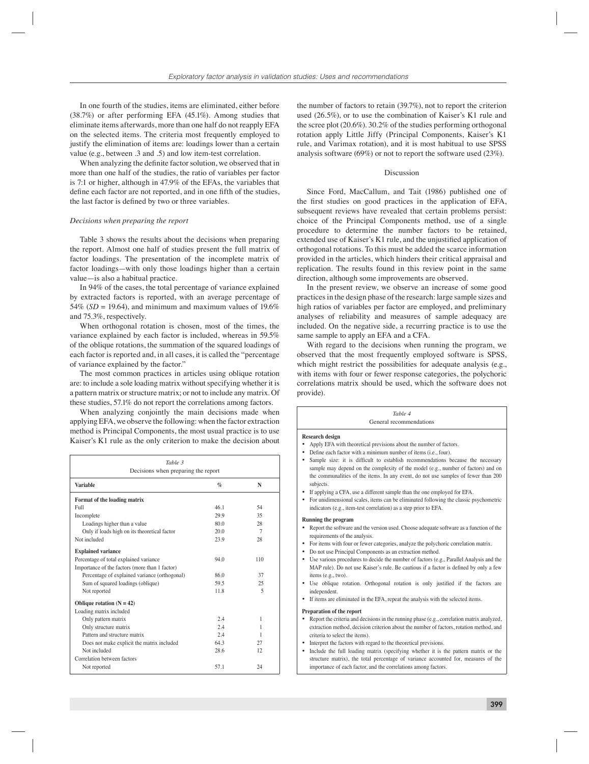In one fourth of the studies, items are eliminated, either before (38.7%) or after performing EFA (45.1%). Among studies that eliminate items afterwards, more than one half do not reapply EFA on the selected items. The criteria most frequently employed to justify the elimination of items are: loadings lower than a certain value (e.g., between .3 and .5) and low item-test correlation.

When analyzing the definite factor solution, we observed that in more than one half of the studies, the ratio of variables per factor is 7:1 or higher, although in 47.9% of the EFAs, the variables that define each factor are not reported, and in one fifth of the studies, the last factor is defined by two or three variables.

#### *Decisions when preparing the report*

Table 3 shows the results about the decisions when preparing the report. Almost one half of studies present the full matrix of factor loadings. The presentation of the incomplete matrix of factor loadings—with only those loadings higher than a certain value—is also a habitual practice.

In 94% of the cases, the total percentage of variance explained by extracted factors is reported, with an average percentage of 54% ( $SD = 19.64$ ), and minimum and maximum values of 19.6% and 75.3%, respectively.

When orthogonal rotation is chosen, most of the times, the variance explained by each factor is included, whereas in 59.5% of the oblique rotations, the summation of the squared loadings of each factor is reported and, in all cases, it is called the "percentage of variance explained by the factor."

The most common practices in articles using oblique rotation are: to include a sole loading matrix without specifying whether it is a pattern matrix or structure matrix; or not to include any matrix. Of these studies, 57.1% do not report the correlations among factors.

When analyzing conjointly the main decisions made when applying EFA, we observe the following: when the factor extraction method is Principal Components, the most usual practice is to use Kaiser's K1 rule as the only criterion to make the decision about

| Table 3<br>Decisions when preparing the report |                 |                          |  |  |
|------------------------------------------------|-----------------|--------------------------|--|--|
| <b>Variable</b>                                | $\mathcal{G}_0$ | N                        |  |  |
| Format of the loading matrix                   |                 |                          |  |  |
| Full                                           | 461             | 54                       |  |  |
| Incomplete                                     | 29.9            | 35                       |  |  |
| Loadings higher than a value                   | 80.0            | 28                       |  |  |
| Only if loads high on its theoretical factor   | 20.0            | 7                        |  |  |
| Not included                                   | 23.9            | 28                       |  |  |
| <b>Explained variance</b>                      |                 |                          |  |  |
| Percentage of total explained variance         | 94.0            | 110                      |  |  |
| Importance of the factors (more than 1 factor) |                 |                          |  |  |
| Percentage of explained variance (orthogonal)  | 86.0            | 37                       |  |  |
| Sum of squared loadings (oblique)              | 59.5            | 25                       |  |  |
| Not reported                                   | 11.8            | $\overline{\phantom{0}}$ |  |  |
| Oblique rotation $(N = 42)$                    |                 |                          |  |  |
| Loading matrix included                        |                 |                          |  |  |
| Only pattern matrix                            | 2.4             | 1                        |  |  |
| Only structure matrix                          | 2.4             | 1                        |  |  |
| Pattern and structure matrix                   | 2.4             | 1                        |  |  |
| Does not make explicit the matrix included     | 643             | 27                       |  |  |
| Not included                                   | 28.6            | 12.                      |  |  |
| Correlation between factors                    |                 |                          |  |  |
| Not reported                                   | 57.1            | 24                       |  |  |

the number of factors to retain (39.7%), not to report the criterion used (26.5%), or to use the combination of Kaiser's K1 rule and the scree plot (20.6%). 30.2% of the studies performing orthogonal rotation apply Little Jiffy (Principal Components, Kaiser's K1 rule, and Varimax rotation), and it is most habitual to use SPSS analysis software (69%) or not to report the software used (23%).

### Discussion

Since Ford, MacCallum, and Tait (1986) published one of the first studies on good practices in the application of EFA, subsequent reviews have revealed that certain problems persist: choice of the Principal Components method, use of a single procedure to determine the number factors to be retained, extended use of Kaiser's K1 rule, and the unjustified application of orthogonal rotations. To this must be added the scarce information provided in the articles, which hinders their critical appraisal and replication. The results found in this review point in the same direction, although some improvements are observed.

In the present review, we observe an increase of some good practices in the design phase of the research: large sample sizes and high ratios of variables per factor are employed, and preliminary analyses of reliability and measures of sample adequacy are included. On the negative side, a recurring practice is to use the same sample to apply an EFA and a CFA.

With regard to the decisions when running the program, we observed that the most frequently employed software is SPSS, which might restrict the possibilities for adequate analysis (e.g., with items with four or fewer response categories, the polychoric correlations matrix should be used, which the software does not provide).

|             | Table 4<br>General recommendations                                                                                                                                                                                                                                                                                                                                                                                                                                                                                                                                                                                                                                                                              |  |  |  |
|-------------|-----------------------------------------------------------------------------------------------------------------------------------------------------------------------------------------------------------------------------------------------------------------------------------------------------------------------------------------------------------------------------------------------------------------------------------------------------------------------------------------------------------------------------------------------------------------------------------------------------------------------------------------------------------------------------------------------------------------|--|--|--|
| ٠<br>٠<br>٠ | <b>Research design</b><br>Apply EFA with theoretical previsions about the number of factors.<br>Define each factor with a minimum number of items (i.e., four).<br>Sample size: it is difficult to establish recommendations because the necessary<br>sample may depend on the complexity of the model (e.g., number of factors) and on<br>the communalities of the items. In any event, do not use samples of fewer than 200<br>subjects.<br>If applying a CFA, use a different sample than the one employed for EFA.<br>• For unidimensional scales, items can be eliminated following the classic psychometric<br>indicators (e.g., item-test correlation) as a step prior to EFA.                           |  |  |  |
| ٠<br>٠      | <b>Running the program</b><br>Report the software and the version used. Choose adequate software as a function of the<br>requirements of the analysis.<br>For items with four or fewer categories, analyze the polychoric correlation matrix.<br>• Do not use Principal Components as an extraction method.<br>• Use various procedures to decide the number of factors (e.g., Parallel Analysis and the<br>MAP rule). Do not use Kaiser's rule. Be cautious if a factor is defined by only a few<br>items (e.g., two).<br>• Use oblique rotation. Orthogonal rotation is only justified if the factors are<br>independent.<br>If items are eliminated in the EFA, repeat the analysis with the selected items. |  |  |  |
| ٠<br>٠<br>٠ | <b>Preparation of the report</b><br>Report the criteria and decisions in the running phase (e.g., correlation matrix analyzed,<br>extraction method, decision criterion about the number of factors, rotation method, and<br>criteria to select the items).<br>Interpret the factors with regard to the theoretical previsions.<br>Include the full loading matrix (specifying whether it is the pattern matrix or the<br>structure matrix), the total percentage of variance accounted for, measures of the<br>importance of each factor, and the correlations among factors.                                                                                                                                  |  |  |  |